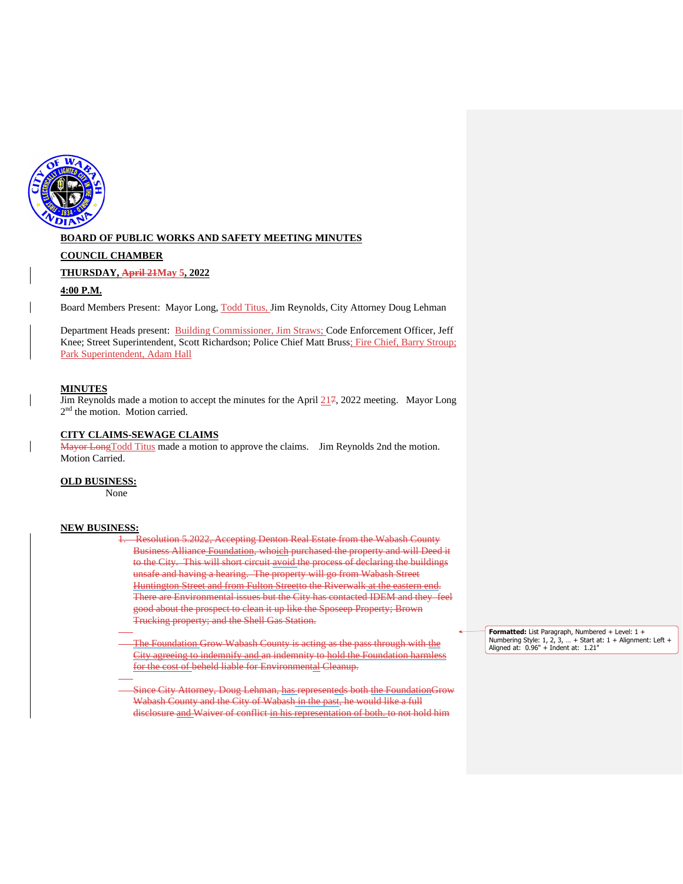

## **BOARD OF PUBLIC WORKS AND SAFETY MEETING MINUTES**

#### **COUNCIL CHAMBER**

#### **THURSDAY, April 21May 5, 2022**

#### **4:00 P.M.**

Board Members Present: Mayor Long, Todd Titus, Jim Reynolds, City Attorney Doug Lehman

Department Heads present: Building Commissioner, Jim Straws; Code Enforcement Officer, Jeff Knee; Street Superintendent, Scott Richardson; Police Chief Matt Bruss; Fire Chief, Barry Stroup; Park Superintendent, Adam Hall

## **MINUTES**

Jim Reynolds made a motion to accept the minutes for the April 217, 2022 meeting. Mayor Long 2<sup>nd</sup> the motion. Motion carried.

## **CITY CLAIMS-SEWAGE CLAIMS**

Mayor LongTodd Titus made a motion to approve the claims. Jim Reynolds 2nd the motion. Motion Carried.

#### **OLD BUSINESS:**

None

#### **NEW BUSINESS:**

Resolution 5.2022, Accepting Denton Real Estate from the Wabash County Business Alliance Foundation, whoich purchased the property and will Deed it to the City. This will short circuit avoid the process of declaring the buildings unsafe and having a hearing. The property will go from Wabash Street Huntington Street and from Fulton Streetto the Riverwalk at the eastern end. There are Environmental issues but the City has contacted IDEM and they feel good about the prospect to clean it up like the Sposeep Property; Brown Trucking property; and the Shell Gas Station.

The Foundation Grow Wabash County is acting as the pass through with the City agreeing to indemnify and an indemnity to hold the Foundation harmless for the cost of beheld liable for Environmental Cleanup.

Since City Attorney, Doug Lehman, has representeds both the FoundationGrow Wabash County and the City of Wabash in the past, he would like a full disclosure and Waiver of conflict in his representation of both. to not hold him

**Formatted:** List Paragraph, Numbered + Level: 1 + Numbering Style: 1, 2, 3, … + Start at: 1 + Alignment: Left + Aligned at: 0.96" + Indent at: 1.21"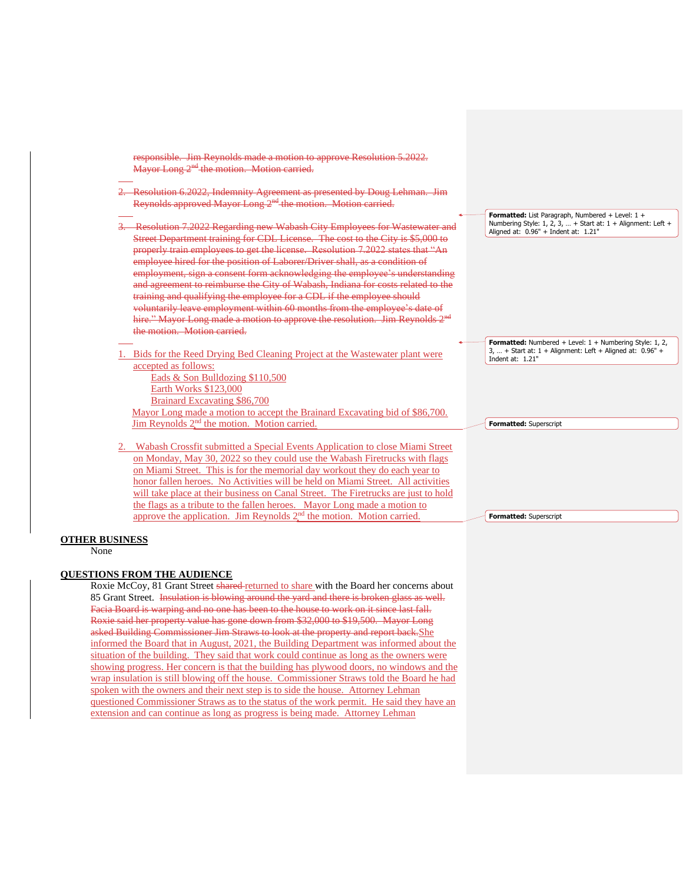| responsible. Jim Reynolds made a motion to approve Resolution 5.2022.<br>Mayor Long 2 <sup>nd</sup> the motion. Motion carried.                                                                                                                                                                                                                                                                                                                                                                                                                                                                                                                                                                                                              |                                                                                                                                                          |
|----------------------------------------------------------------------------------------------------------------------------------------------------------------------------------------------------------------------------------------------------------------------------------------------------------------------------------------------------------------------------------------------------------------------------------------------------------------------------------------------------------------------------------------------------------------------------------------------------------------------------------------------------------------------------------------------------------------------------------------------|----------------------------------------------------------------------------------------------------------------------------------------------------------|
| 2. Resolution 6.2022, Indemnity Agreement as presented by Doug Lehman. Jim<br>Reynolds approved Mayor Long 2 <sup>nd</sup> the motion. Motion carried.                                                                                                                                                                                                                                                                                                                                                                                                                                                                                                                                                                                       |                                                                                                                                                          |
| Resolution 7.2022 Regarding new Wabash City Employees for Wastewater and<br>Street Department training for CDL License. The cost to the City is \$5,000 to<br>properly train employees to get the license. Resolution 7.2022 states that "An<br>employee hired for the position of Laborer/Driver shall, as a condition of<br>employment, sign a consent form acknowledging the employee's understanding<br>and agreement to reimburse the City of Wabash, Indiana for costs related to the<br>training and qualifying the employee for a CDL if the employee should<br>voluntarily leave employment within 60 months from the employee's date of<br>hire." Mayor Long made a motion to approve the resolution. Jim Reynolds 2 <sup>nd</sup> | Formatted: List Paragraph, Numbered + Level: 1 +<br>Numbering Style: 1, 2, 3,  + Start at: 1 + Alignment: Left +<br>Aligned at: 0.96" + Indent at: 1.21" |
| the motion. Motion carried.                                                                                                                                                                                                                                                                                                                                                                                                                                                                                                                                                                                                                                                                                                                  | Formatted: Numbered + Level: 1 + Numbering Style: 1, 2,<br>3,  + Start at: $1 +$ Alignment: Left + Aligned at: $0.96"$ +                                 |
| 1. Bids for the Reed Drying Bed Cleaning Project at the Wastewater plant were<br>accepted as follows:<br>Eads & Son Bulldozing \$110,500<br>Earth Works \$123,000<br>Brainard Excavating \$86,700                                                                                                                                                                                                                                                                                                                                                                                                                                                                                                                                            | Indent at: $1.21"$                                                                                                                                       |
| Mayor Long made a motion to accept the Brainard Excavating bid of \$86,700.<br>Jim Reynolds $2nd$ the motion. Motion carried.                                                                                                                                                                                                                                                                                                                                                                                                                                                                                                                                                                                                                | Formatted: Superscript                                                                                                                                   |
| Wabash Crossfit submitted a Special Events Application to close Miami Street<br>on Monday, May 30, 2022 so they could use the Wabash Firetrucks with flags<br>on Miami Street. This is for the memorial day workout they do each year to<br>honor fallen heroes. No Activities will be held on Miami Street. All activities<br>will take place at their business on Canal Street. The Firetrucks are just to hold<br>the flags as a tribute to the fallen heroes. Mayor Long made a motion to                                                                                                                                                                                                                                                |                                                                                                                                                          |
| approve the application. Jim Reynolds $2nd$ the motion. Motion carried.                                                                                                                                                                                                                                                                                                                                                                                                                                                                                                                                                                                                                                                                      | Formatted: Superscript                                                                                                                                   |

## **OTHER BUSINESS**

None

## **QUESTIONS FROM THE AUDIENCE**

Roxie McCoy, 81 Grant Street shared returned to share with the Board her concerns about 85 Grant Street. Insulation is blowing around the yard and there is broken glass as well. Facia Board is warping and no one has been to the house to work on it since last fall. Roxie said her property value has gone down from \$32,000 to \$19,500. Mayor Long asked Building Commissioner Jim Straws to look at the property and report back.She informed the Board that in August, 2021, the Building Department was informed about the situation of the building. They said that work could continue as long as the owners were showing progress. Her concern is that the building has plywood doors, no windows and the wrap insulation is still blowing off the house. Commissioner Straws told the Board he had spoken with the owners and their next step is to side the house. Attorney Lehman questioned Commissioner Straws as to the status of the work permit. He said they have an extension and can continue as long as progress is being made. Attorney Lehman